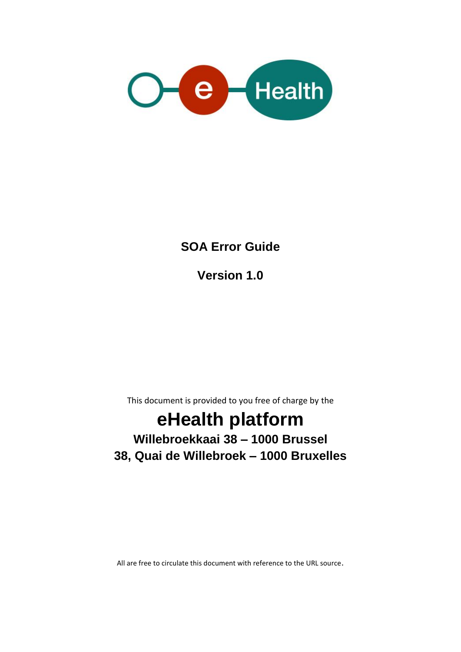

#### **SOA Error Guide**

**Version 1.0**

This document is provided to you free of charge by the

# **eHealth platform**

#### **Willebroekkaai 38 – 1000 Brussel 38, Quai de Willebroek – 1000 Bruxelles**

All are free to circulate this document with reference to the URL source.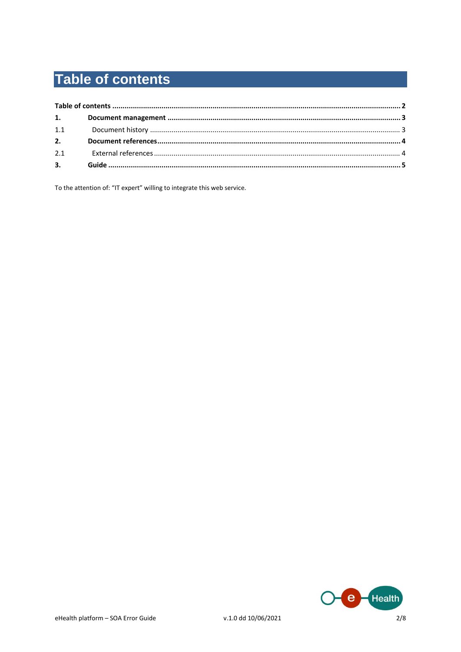## **Table of contents**

| 1.1 |  |
|-----|--|
|     |  |
| 2.1 |  |
|     |  |
|     |  |

To the attention of: "IT expert" willing to integrate this web service.

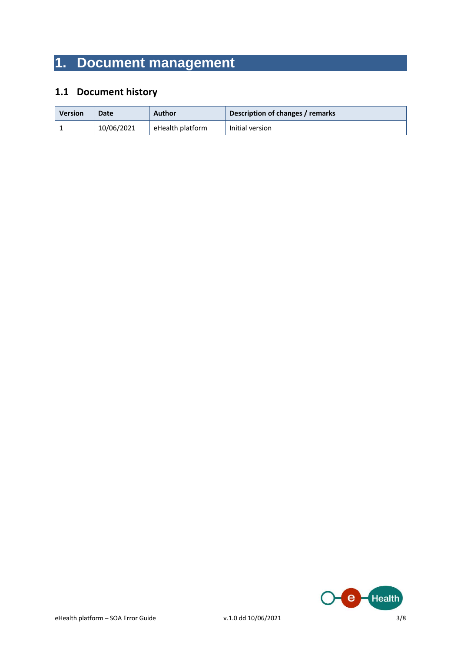### **1. Document management**

#### **1.1 Document history**

| <b>Version</b> | <b>Date</b> | Author           | Description of changes / remarks |
|----------------|-------------|------------------|----------------------------------|
|                | 10/06/2021  | eHealth platform | Initial version                  |

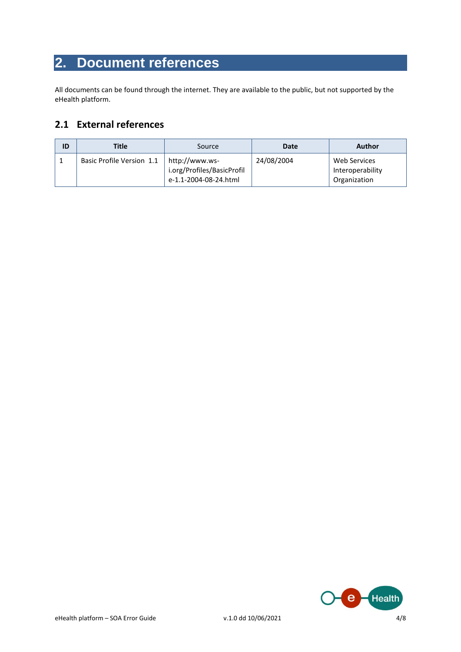### **2. Document references**

All documents can be found through the internet. They are available to the public, but not supported by the eHealth platform.

#### **2.1 External references**

| ID | <b>Title</b>              | Source                                                                | Date       | Author                                                  |
|----|---------------------------|-----------------------------------------------------------------------|------------|---------------------------------------------------------|
|    | Basic Profile Version 1.1 | http://www.ws-<br>i.org/Profiles/BasicProfil<br>e-1.1-2004-08-24.html | 24/08/2004 | <b>Web Services</b><br>Interoperability<br>Organization |

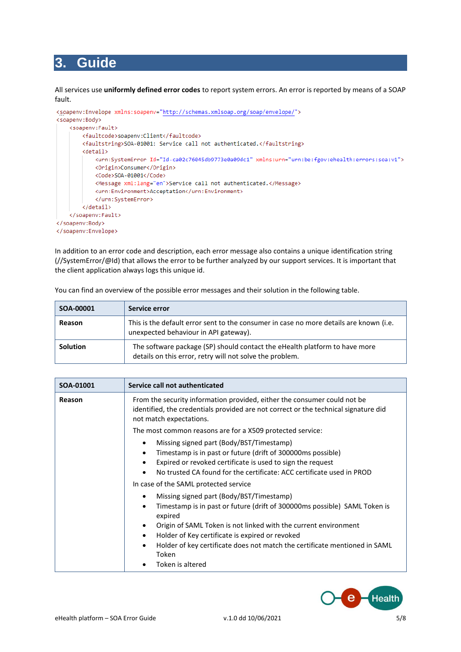#### **3. Guide**

All services use **uniformly defined error codes** to report system errors. An error is reported by means of a SOAP fault.



In addition to an error code and description, each error message also contains a unique identification string (//SystemError/@Id) that allows the error to be further analyzed by our support services. It is important that the client application always logs this unique id.

| SOA-00001       | Service error                                                                                                                          |
|-----------------|----------------------------------------------------------------------------------------------------------------------------------------|
| Reason          | This is the default error sent to the consumer in case no more details are known (i.e.<br>unexpected behaviour in API gateway).        |
| <b>Solution</b> | The software package (SP) should contact the eHealth platform to have more<br>details on this error, retry will not solve the problem. |

You can find an overview of the possible error messages and their solution in the following table.

| SOA-01001 | Service call not authenticated                                                                                                                                                                                                                                                                                                                                                 |
|-----------|--------------------------------------------------------------------------------------------------------------------------------------------------------------------------------------------------------------------------------------------------------------------------------------------------------------------------------------------------------------------------------|
| Reason    | From the security information provided, either the consumer could not be<br>identified, the credentials provided are not correct or the technical signature did<br>not match expectations.                                                                                                                                                                                     |
|           | The most common reasons are for a X509 protected service:                                                                                                                                                                                                                                                                                                                      |
|           | Missing signed part (Body/BST/Timestamp)<br>Timestamp is in past or future (drift of 300000ms possible)<br>Expired or revoked certificate is used to sign the request<br>No trusted CA found for the certificate: ACC certificate used in PROD                                                                                                                                 |
|           | In case of the SAML protected service                                                                                                                                                                                                                                                                                                                                          |
|           | Missing signed part (Body/BST/Timestamp)<br>Timestamp is in past or future (drift of 300000ms possible) SAML Token is<br>$\bullet$<br>expired<br>Origin of SAML Token is not linked with the current environment<br>Holder of Key certificate is expired or revoked<br>Holder of key certificate does not match the certificate mentioned in SAML<br>Token<br>Token is altered |

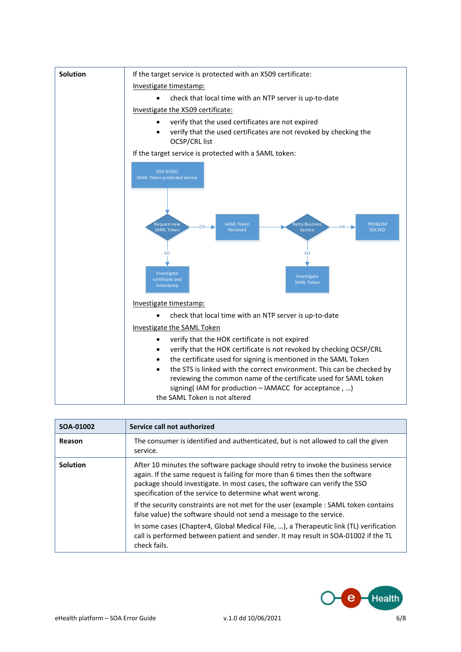

| SOA-01002       | Service call not authorized                                                                                                                                                                                                                                                                                    |
|-----------------|----------------------------------------------------------------------------------------------------------------------------------------------------------------------------------------------------------------------------------------------------------------------------------------------------------------|
| Reason          | The consumer is identified and authenticated, but is not allowed to call the given<br>service.                                                                                                                                                                                                                 |
| <b>Solution</b> | After 10 minutes the software package should retry to invoke the business service<br>again. If the same request is failing for more than 6 times then the software<br>package should investigate. In most cases, the software can verify the SSO<br>specification of the service to determine what went wrong. |
|                 | If the security constraints are not met for the user (example: SAML token contains<br>false value) the software should not send a message to the service.                                                                                                                                                      |
|                 | In some cases (Chapter4, Global Medical File, ), a Therapeutic link (TL) verification<br>call is performed between patient and sender. It may result in SOA-01002 if the TL<br>check fails.                                                                                                                    |

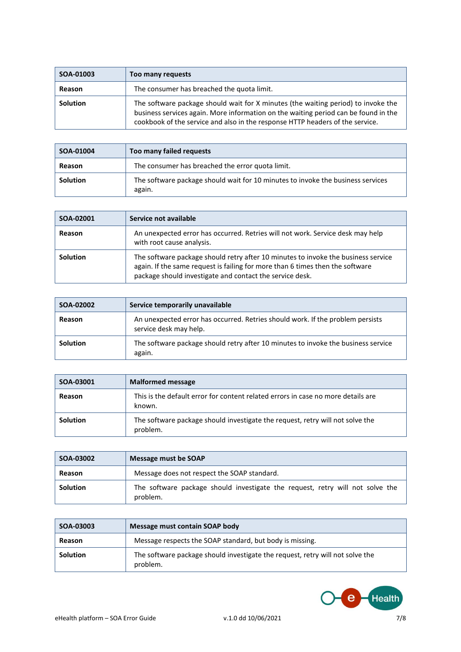| SOA-01003       | Too many requests                                                                                                                                                                                                                                         |
|-----------------|-----------------------------------------------------------------------------------------------------------------------------------------------------------------------------------------------------------------------------------------------------------|
| Reason          | The consumer has breached the quota limit.                                                                                                                                                                                                                |
| <b>Solution</b> | The software package should wait for X minutes (the waiting period) to invoke the<br>business services again. More information on the waiting period can be found in the<br>cookbook of the service and also in the response HTTP headers of the service. |

| SOA-01004       | Too many failed requests                                                                  |
|-----------------|-------------------------------------------------------------------------------------------|
| Reason          | The consumer has breached the error quota limit.                                          |
| <b>Solution</b> | The software package should wait for 10 minutes to invoke the business services<br>again. |

| SOA-02001       | Service not available                                                                                                                                                                                                          |
|-----------------|--------------------------------------------------------------------------------------------------------------------------------------------------------------------------------------------------------------------------------|
| Reason          | An unexpected error has occurred. Retries will not work. Service desk may help<br>with root cause analysis.                                                                                                                    |
| <b>Solution</b> | The software package should retry after 10 minutes to invoke the business service<br>again. If the same request is failing for more than 6 times then the software<br>package should investigate and contact the service desk. |

| SOA-02002       | Service temporarily unavailable                                                                          |
|-----------------|----------------------------------------------------------------------------------------------------------|
| Reason          | An unexpected error has occurred. Retries should work. If the problem persists<br>service desk may help. |
| <b>Solution</b> | The software package should retry after 10 minutes to invoke the business service<br>again.              |

| SOA-03001       | <b>Malformed message</b>                                                                   |
|-----------------|--------------------------------------------------------------------------------------------|
| Reason          | This is the default error for content related errors in case no more details are<br>known. |
| <b>Solution</b> | The software package should investigate the request, retry will not solve the<br>problem.  |

| SOA-03002       | Message must be SOAP                                                                      |
|-----------------|-------------------------------------------------------------------------------------------|
| Reason          | Message does not respect the SOAP standard.                                               |
| <b>Solution</b> | The software package should investigate the request, retry will not solve the<br>problem. |

| SOA-03003       | Message must contain SOAP body                                                            |
|-----------------|-------------------------------------------------------------------------------------------|
| Reason          | Message respects the SOAP standard, but body is missing.                                  |
| <b>Solution</b> | The software package should investigate the request, retry will not solve the<br>problem. |